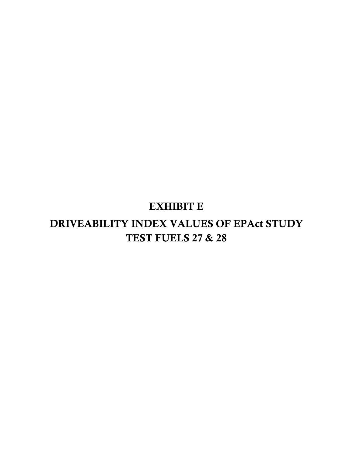## EXHIBIT E

# DRIVEABILITY INDEX VALUES OF EPAct STUDY TEST FUELS 27 & 28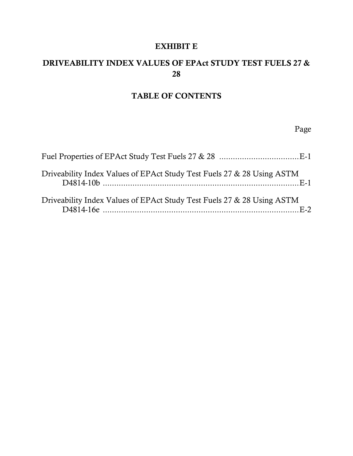#### EXHIBIT E

### DRIVEABILITY INDEX VALUES OF EPAct STUDY TEST FUELS 27 & 28

#### TABLE OF CONTENTS

Page

| Driveability Index Values of EPAct Study Test Fuels 27 & 28 Using ASTM |  |
|------------------------------------------------------------------------|--|
| Driveability Index Values of EPAct Study Test Fuels 27 & 28 Using ASTM |  |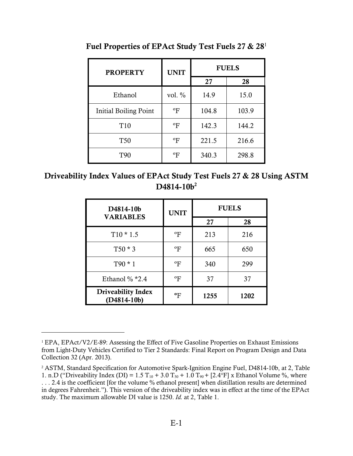| <b>PROPERTY</b>       | <b>UNIT</b>               | <b>FUELS</b> |       |
|-----------------------|---------------------------|--------------|-------|
|                       |                           | 27           | 28    |
| Ethanol               | vol. $\%$                 | 14.9         | 15.0  |
| Initial Boiling Point | $\mathrm{P}$              | 104.8        | 103.9 |
| T <sub>10</sub>       | $\mathrm{P}$              | 142.3        | 144.2 |
| <b>T50</b>            | $\mathrm{P}_{\mathrm{F}}$ | 221.5        | 216.6 |
| <b>T90</b>            | ºF                        | 340.3        | 298.8 |

<span id="page-2-0"></span>Fuel Properties of EPAct Study Test Fuels 27 & 28<sup>1</sup>

Driveability Index Values of EPAct Study Test Fuels 27 & 28 Using ASTM D4814-10b<sup>2</sup>

| D4814-10b<br><b>VARIABLES</b>              | <b>UNIT</b>      |      | <b>FUELS</b> |
|--------------------------------------------|------------------|------|--------------|
|                                            |                  | 27   | 28           |
| $T10 * 1.5$                                | °F               | 213  | 216          |
| $T50 * 3$                                  | $\mathrm{^{o}F}$ | 665  | 650          |
| $T90 * 1$                                  | °F               | 340  | 299          |
| Ethanol $\%$ *2.4                          | °F               | 37   | 37           |
| <b>Driveability Index</b><br>$(D4814-10b)$ | ºF               | 1255 | 1202         |

<sup>&</sup>lt;sup>1</sup> EPA, EPAct/V2/E-89: Assessing the Effect of Five Gasoline Properties on Exhaust Emissions from Light-Duty Vehicles Certified to Tier 2 Standards: Final Report on Program Design and Data Collection 32 (Apr. 2013).

<sup>&</sup>lt;sup>2</sup> ASTM, Standard Specification for Automotive Spark-Ignition Engine Fuel, D4814-10b, at 2, Table 1. n.D ("Driveability Index (DI) = 1.5  $T_{10}$  + 3.0  $T_{50}$  + 1.0  $T_{90}$  + [2.4°F] x Ethanol Volume %, where . . . 2.4 is the coefficient [for the volume % ethanol present] when distillation results are determined in degrees Fahrenheit."). This version of the driveability index was in effect at the time of the EPAct study. The maximum allowable DI value is 1250. *Id.* at 2, Table 1.